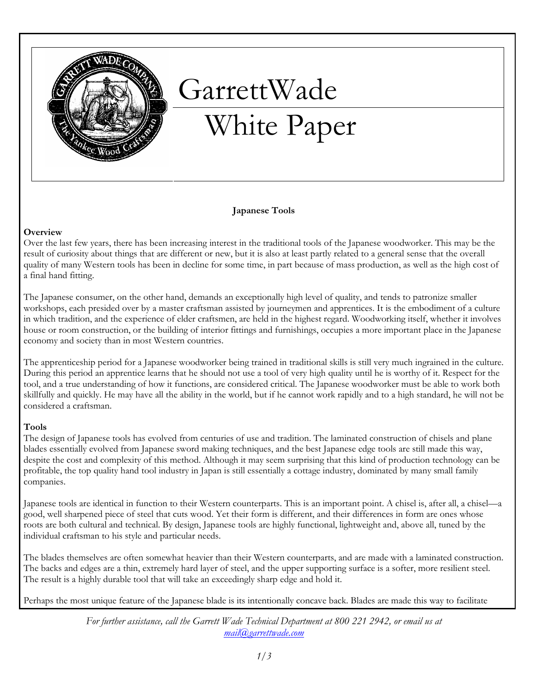

# GarrettWade White Paper

## Japanese Tools

#### **Overview**

Over the last few years, there has been increasing interest in the traditional tools of the Japanese woodworker. This may be the result of curiosity about things that are different or new, but it is also at least partly related to a general sense that the overall quality of many Western tools has been in decline for some time, in part because of mass production, as well as the high cost of a final hand fitting.

The Japanese consumer, on the other hand, demands an exceptionally high level of quality, and tends to patronize smaller workshops, each presided over by a master craftsman assisted by journeymen and apprentices. It is the embodiment of a culture in which tradition, and the experience of elder craftsmen, are held in the highest regard. Woodworking itself, whether it involves house or room construction, or the building of interior fittings and furnishings, occupies a more important place in the Japanese economy and society than in most Western countries.

The apprenticeship period for a Japanese woodworker being trained in traditional skills is still very much ingrained in the culture. During this period an apprentice learns that he should not use a tool of very high quality until he is worthy of it. Respect for the tool, and a true understanding of how it functions, are considered critical. The Japanese woodworker must be able to work both skillfully and quickly. He may have all the ability in the world, but if he cannot work rapidly and to a high standard, he will not be considered a craftsman.

#### Tools

The design of Japanese tools has evolved from centuries of use and tradition. The laminated construction of chisels and plane blades essentially evolved from Japanese sword making techniques, and the best Japanese edge tools are still made this way, despite the cost and complexity of this method. Although it may seem surprising that this kind of production technology can be profitable, the top quality hand tool industry in Japan is still essentially a cottage industry, dominated by many small family companies.

Japanese tools are identical in function to their Western counterparts. This is an important point. A chisel is, after all, a chisel—a good, well sharpened piece of steel that cuts wood. Yet their form is different, and their differences in form are ones whose roots are both cultural and technical. By design, Japanese tools are highly functional, lightweight and, above all, tuned by the individual craftsman to his style and particular needs.

The blades themselves are often somewhat heavier than their Western counterparts, and are made with a laminated construction. The backs and edges are a thin, extremely hard layer of steel, and the upper supporting surface is a softer, more resilient steel. The result is a highly durable tool that will take an exceedingly sharp edge and hold it.

Perhaps the most unique feature of the Japanese blade is its intentionally concave back. Blades are made this way to facilitate

For further assistance, call the Garrett Wade Technical Department at 800 221 2942, or email us at mail@garrettwade.com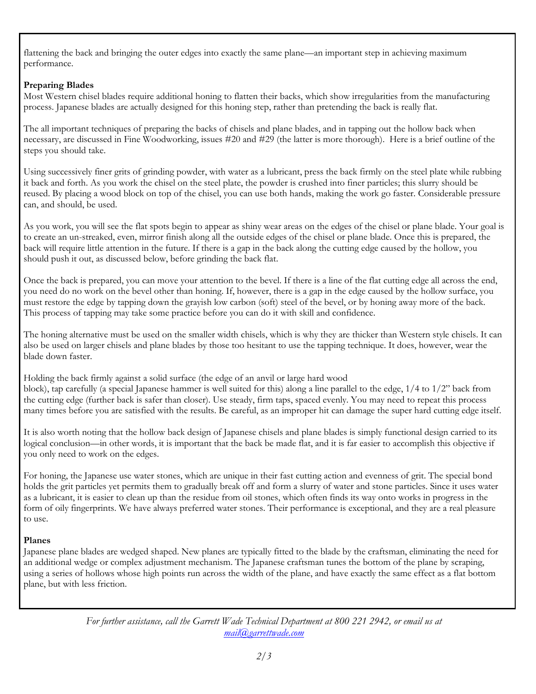flattening the back and bringing the outer edges into exactly the same plane—an important step in achieving maximum performance.

# Preparing Blades

Most Western chisel blades require additional honing to flatten their backs, which show irregularities from the manufacturing process. Japanese blades are actually designed for this honing step, rather than pretending the back is really flat.

The all important techniques of preparing the backs of chisels and plane blades, and in tapping out the hollow back when necessary, are discussed in Fine Woodworking, issues #20 and #29 (the latter is more thorough). Here is a brief outline of the steps you should take.

Using successively finer grits of grinding powder, with water as a lubricant, press the back firmly on the steel plate while rubbing it back and forth. As you work the chisel on the steel plate, the powder is crushed into finer particles; this slurry should be reused. By placing a wood block on top of the chisel, you can use both hands, making the work go faster. Considerable pressure can, and should, be used.

As you work, you will see the flat spots begin to appear as shiny wear areas on the edges of the chisel or plane blade. Your goal is to create an un-streaked, even, mirror finish along all the outside edges of the chisel or plane blade. Once this is prepared, the back will require little attention in the future. If there is a gap in the back along the cutting edge caused by the hollow, you should push it out, as discussed below, before grinding the back flat.

Once the back is prepared, you can move your attention to the bevel. If there is a line of the flat cutting edge all across the end, you need do no work on the bevel other than honing. If, however, there is a gap in the edge caused by the hollow surface, you must restore the edge by tapping down the grayish low carbon (soft) steel of the bevel, or by honing away more of the back. This process of tapping may take some practice before you can do it with skill and confidence.

The honing alternative must be used on the smaller width chisels, which is why they are thicker than Western style chisels. It can also be used on larger chisels and plane blades by those too hesitant to use the tapping technique. It does, however, wear the blade down faster.

Holding the back firmly against a solid surface (the edge of an anvil or large hard wood block), tap carefully (a special Japanese hammer is well suited for this) along a line parallel to the edge, 1/4 to 1/2" back from the cutting edge (further back is safer than closer). Use steady, firm taps, spaced evenly. You may need to repeat this process many times before you are satisfied with the results. Be careful, as an improper hit can damage the super hard cutting edge itself.

It is also worth noting that the hollow back design of Japanese chisels and plane blades is simply functional design carried to its logical conclusion—in other words, it is important that the back be made flat, and it is far easier to accomplish this objective if you only need to work on the edges.

For honing, the Japanese use water stones, which are unique in their fast cutting action and evenness of grit. The special bond holds the grit particles yet permits them to gradually break off and form a slurry of water and stone particles. Since it uses water as a lubricant, it is easier to clean up than the residue from oil stones, which often finds its way onto works in progress in the form of oily fingerprints. We have always preferred water stones. Their performance is exceptional, and they are a real pleasure to use.

# Planes

Japanese plane blades are wedged shaped. New planes are typically fitted to the blade by the craftsman, eliminating the need for an additional wedge or complex adjustment mechanism. The Japanese craftsman tunes the bottom of the plane by scraping, using a series of hollows whose high points run across the width of the plane, and have exactly the same effect as a flat bottom plane, but with less friction.

> For further assistance, call the Garrett Wade Technical Department at 800 221 2942, or email us at mail@garrettwade.com